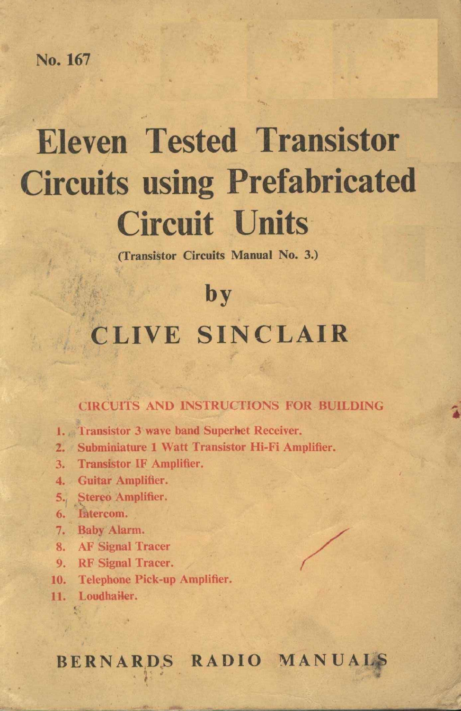No. 167

# Eleven Tested Transistor No. 167<br>
Eleven Tested Transistor<br>
Circuits using Prefabricated **Tested Transport**<br> **Circuit Units**<br> **Circuit Units** Circuit Units<br>(Transistor Circuits Manual No. 3.) by<br>by Tested Transier<br>
its using Prefabric<br>
Circuit Units<br>
Circuit Manual No. 3.)<br>
by<br>
CLIVE SINCLAIR

CLIVE SINCLAIR<br>CIRCUITS AND INSTRUCTIONS FOR BUILDING

- 1. Transistor 3 wave band Superhet Receiver.
- 1. Transistor 3 wave band Superhet Receiver.<br>2. Subminiature 1 Watt Transistor Hi-Fi Amplifier. 2. Subminiature 1 Watt Transistor IF Amplifier.
- 3. Transistor IF An<br>4. Guitar Amplifier.
- 
- 4. Guitar Amplifier.<br>5., Stereo Amplifier. 5. Stereo Amplifier.<br>6. Entercom.
- 
- 7. Baby Alarm.
- 6. Intercom.<br>7. Baby Alarm.<br>8. AF Signal Tracer
- 8. AF Signal Tracer.<br>9. RF Signal Tracer.
- 10. RF Signal Tracer.<br>10. Telephone Pick-up Amplifier. 10. Telephone 1<br>11. Loudhailer.
- 

# BERNARDS RADIO MANUALS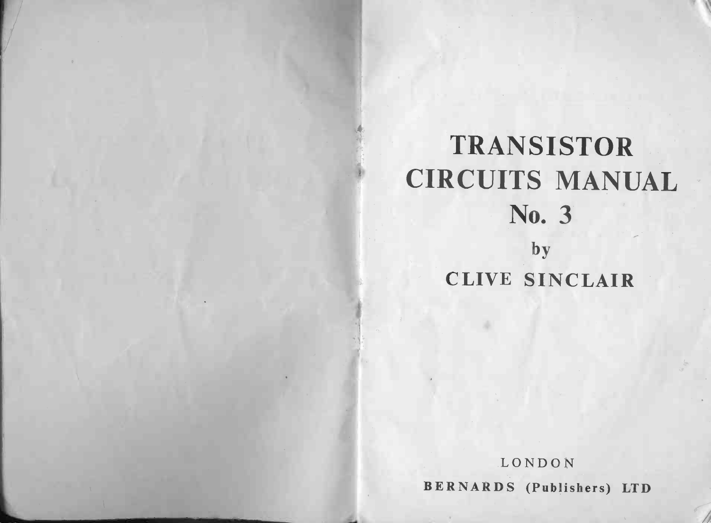# TRANSISTOR TRANSISTOR<br>CIRCUITS MANUAL NSIS<br>TS N<br>No. 3 S<br>D.<br>by TRANSISTOR<br>CUITS MANU<br>No. 3<br>by<br>CLIVE SINCLAIR

LONDON BERNARDS (Publishers) LTD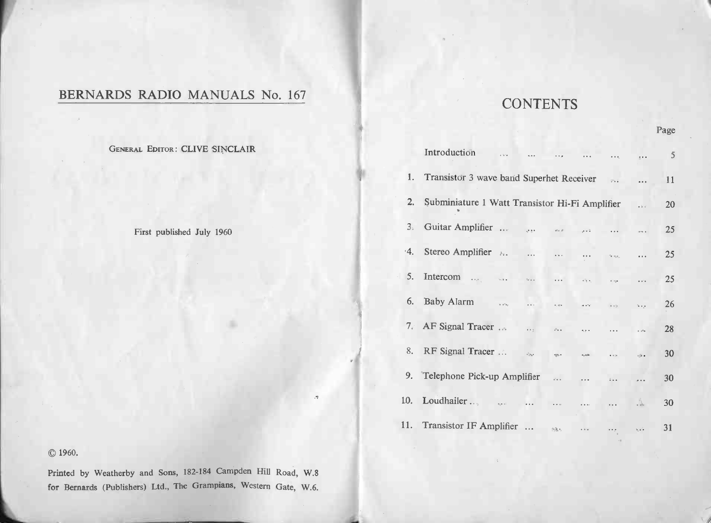# BERNARDS RADIO MANUALS No. 167

# © 1960.

Printed by Weatherby and Sons, 182-184 Campden Hill Road, W.8 for Bernards (Publishers) Ltd., The Grampians, Western Gate, W.6.

# **CONTENTS**

| (DS RADIO MANUALS N0. 167      | <b>CONTENTS</b> |                                                                                                                                                |                            |      |
|--------------------------------|-----------------|------------------------------------------------------------------------------------------------------------------------------------------------|----------------------------|------|
|                                |                 |                                                                                                                                                |                            | Page |
| GENERAL EDITOR: CLIVE SINCLAIR |                 | Introduction<br>$\alpha$ for $\alpha$                                                                                                          |                            | 5    |
|                                |                 | 1. Transistor 3 wave band Superhet Receiver<br>$\tilde{T}$ .                                                                                   | $\cdots$                   | 11   |
|                                |                 | 2. Subminiature 1 Watt Transistor Hi-Fi Amplifier                                                                                              | $\rightarrow$ 2.4          | 20   |
| First published July 1960      |                 | 3. Guitar Amplifier<br>10.64<br>$\mathfrak{sl}_A\subsetneq$<br>$\lambda \approx 4$<br>$\cdots$                                                 | $\frac{1}{2}$              | 25   |
|                                |                 | 4. Stereo Amplifier $\lambda$ .<br>$\dddotsc$<br>$\overline{\mathbf{e}}$ is as<br>.<br>$\sim$ $\eta_{\rm{c}}\eta_{\rm{c}}$                     | .                          | 25   |
|                                |                 | 5. Intercom<br>$\sim$ $\sim$<br>$\omega_{\rm{max}}$<br>$\cdots$<br>$\mathbf{e}^{\mathbf{e}_1}$ .<br>$\epsilon$ ago                             | $\ddotsc$                  | 25   |
|                                |                 | 6. Baby Alarm<br>$\mathbf{u}^{\dagger}$ , $\mathbf{u}^{\dagger}$<br>$\cdots$<br>$\epsilon, \ll \epsilon$<br>$4.4^{\circ}$<br>$\rightarrow$ +5. | $\Delta \rightarrow \mu$   | 26   |
|                                |                 | 7. AF Signal Tracer<br>$\epsilon \rightarrow \pm$<br>$\pm$ $\pm$ $^{2}$<br>$\alpha$<br>$\cdots$                                                | $\sim 10$                  | 28   |
|                                |                 | 8. RF Signal Tracer<br>$\bar{\psi}_{\rm obs}$<br>$_{\rm age}$ .<br>$\overline{a}$<br>$\mathfrak{a}_s$ acia                                     | $\sqrt{2}$ .               | 30   |
|                                |                 | 9. Telephone Pick-up Amplifier<br>$\omega_{\rm max}$<br>$\cdots$<br>$\ddot{\phantom{a}}$                                                       | $\sigma$ and               | 30   |
|                                |                 | 10. Loudhailer<br>$\alpha$ , $\alpha$ , $\alpha$ ).<br>$\cdots$                                                                                | $\frac{c_{1}}{dH_{0}}$     | 30   |
|                                |                 | 11. Transistor IF Amplifier<br>$\sim$ $\sim$ $\sim$<br>$\ldots$                                                                                | $\alpha_{\mu}$ , $\lambda$ | 31   |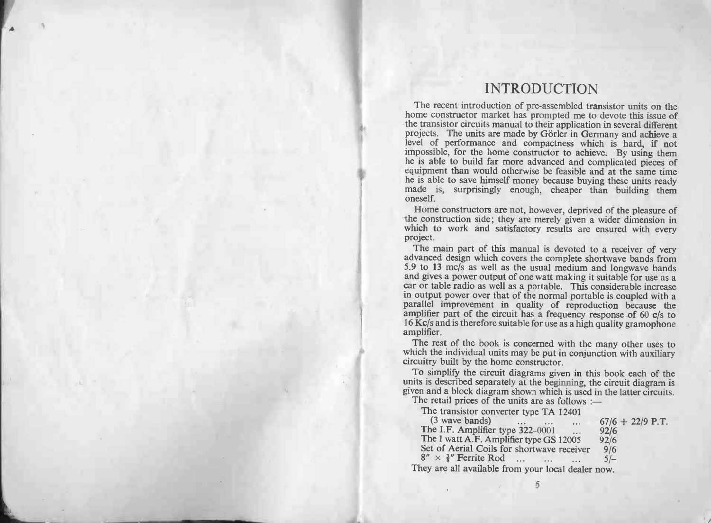# INTRODUCTION

f4

INTRODUCTION<br>The recent introduction of pre-assembled transistor units on the<br>home constructor market has prompted me to devote this issue of<br>the transistor circuits manual to their application in several different INTRODUCTION<br>INTRODUCTION<br>the recent introduction of pre-assembled transistor units on the<br>home constructor market has prompted me to devote this issue of<br>the transistor circuits manual to their application in several diff Fire exert introduction of pre-assembed transistor units on the<br>home constructor market has prompted me to devote this issue of<br>the transistor circuits manual to their application in several different<br>projects. The units a Home constructors are not, however, deprived of the pleasure of the constructors are not, however, deprived of the pleasure of the constructors are not, however, deprived of the pleasure of the construction side; they are

made is, surprisingly enough, cheaper than building them<br>oneself.<br>Home constructors are not, however, deprived of the pleasure of<br>the construction side; they are merely given a wider dimension in<br>which to work and satisfac

project.<br>The main part of this manual is devoted to a receiver of very<br>advanced design which covers the complete shortwave bands from<br>5.9 to 13 mc/s as well as the usual medium and longwave bands<br>and gives a power output o advanced design which covers the complete shortwave bands from 5.9 to 13 mc/s as well as the usual medium and longwave bands and gives a power output of one watt making it suitable for use as a car or table radio as well amplifier part of the circuit has a frequency response of  $60 \text{ c/s}$  to  $16 \text{ Kc/s}$  and is therefore suitable for use as a high quality gramophone amplifier.<br>The rest of the book is concerned with the many other uses to parallel improvement in quality of reproduction because the amplifier part of the circuit has a frequency response of  $60 \text{ c/s}$  to  $16 \text{ Kc/s}$  and is therefore suitable for use as a high quality gramophone amplifier.<br>The

which the individual units may be put in conjunction with auxiliary The rest of the book is concerned with the many other uses to which the individual units may be put in conjunction with auxiliary circuitry built by the home constructor.<br>To simplify the circuit diagrams given in this book

units is described separately at the beginning, the circuit diagram is given and a block diagram shown which is used in the latter circuits.<br>The retail prices of the units are as follows :-If it is simplify the circuit diagrams given it<br>is is described separately at the beginnin<br>in and a block diagram shown which is u<br>ne retail prices of the units are as follow<br>The transistor converter type TA 1240.

(3 is described separately at the beginning, the circuit diagram<br>
(3 and a block diagram shown which is used in the latter circuit<br>
ie retail prices of the units are as follows :—<br>
The transistor converter type TA 12401<br> The transistor converter type TA 12401<br>
(3 wave bands) ... ... ... 67/6 + 22/9 P.T.<br>
The I.F. Amplifier type 322-0001 ... 92/6<br>
The 1 watt A.F. Amplifier type GS 12005 92/6<br>
Set of Aerial Coils for shortwave receiver 9/6<br> They are all available from your local dealer now. س<br>≦

 $\sqrt{2}$ 

AL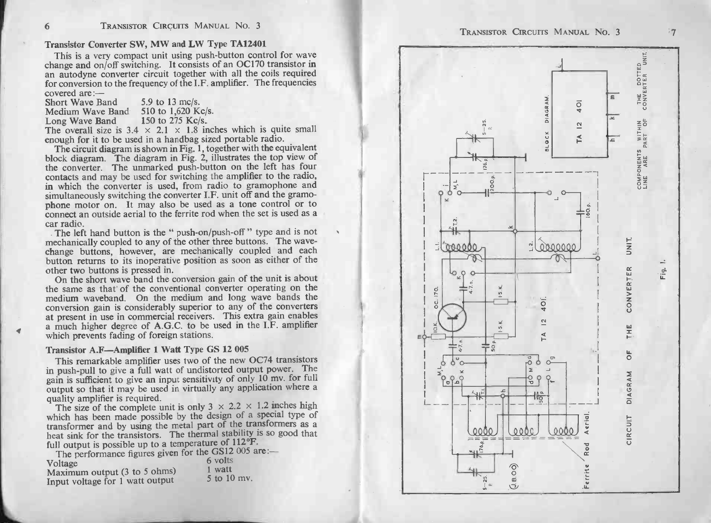# 6 TRANSISTOR CIRCUITS MANUAL NO. 3<br>Transistor Converter SW, MW and LW Type TA12401

TRANSISTOR CIRCUITS MANUAL NO. 3<br>
Transistor Converter SW, MW and LW Type TA12401<br>
This is a very compact unit using push-button control for wave<br>
change and on/off switching. It consists of an OC170 transistor in<br>
an auto This is a very compact unit using push-button control for wave<br>change and on/off switching. It consists of an OC170 transistor in<br>an autodyne converter circuit together with all the coils required<br>for conversion to the fre Medium Autology Converter circuit together v<br>an autodyne converter circuit together v<br>for conversion to the frequency of the I.F. a<br>covered are :—<br>Short Wave Band 510 to 1,620 Kc/s. Example 2013 to 275 Kc/s.<br>
Conversion to the frequency of the I.F. amplifier. The frequencies<br>
covered are:—<br>
Short Wave Band 5.9 to 13 mc/s.<br>
Medium Wave Band 5.9 to 1,620 Kc/s.<br>
Long Wave Band 150 to 275 Kc/s.<br>
The over

| <b>Short Wave Band</b> | 5.9 to 13 mc/s.    |
|------------------------|--------------------|
| Medium Wave Band       | 510 to 1,620 Kc/s. |
| Long Wave Band         | 150 to 275 Kc/s.   |

The overall size is  $3.4 \times 2.1 \times 1.8$  inches which is quite small<br>enough for it to be used in a handbag sized portable radio.<br>The circuit diagram is shown in Fig. 1, together with the equivalent

The overall size is  $3.4 \times 2.1 \times 1.8$  inches which is quite small enough for it to be used in a handbag sized portable radio.<br>The circuit diagram is shown in Fig. 1, together with the equivalent block diagram. The diagram enough for it to be used in a handbag sized portable radio.<br>The circuit diagram is shown in Fig. 1, together with the equivalent<br>block diagram. The diagram in Fig. 2, illustrates the top view of<br>the converter. The unmarked phock diagram. The diagram in Fig. 2, illustrates the top view of the converter. The unmarked push-button on the left has four contacts and may be used for switching the amplifier to the radio, in which the converter is us phone motor on. It may also be used as a tone control or to connect an outside aerial to the ferrite rod when the set is used as a car radio. is simultaneously switching the converter I.F. unit off and the gramo-<br>phone motor on. It may also be used as a tone control or to<br>connect an outside aerial to the ferrite rod when the set is used as a<br>car radio.<br>The left

phone motor on. It may also be used as a tone control or to connect an outside aerial to the ferrite rod when the set is used as a car radio.<br>The left hand button is the "push-on/push-off" type and is not mechanically coup mechanically coupled to any of the other three buttons. The wave-<br>change buttons, however, are mechanically coupled and each<br>button returns to its inoperative position as soon as either of the<br>other two buttons is pressed

medium waveband. On the medium and long wave bands the On the short wave band the conversion gain of the unit is about<br>On the same as that' of the conventional converter operating on the<br>medium waveband. On the medium and long wave bands the<br>conversion gain is considerably sup In the same as that 'of the convertional converter operating on the same as that' of the conventional converter predium waveband. On the medium and long wave bands the conversion gain is considerably superior to any of the at present in use in commercial receivers<br>a much higher degree of A.G.C. to be<br>which prevents fading of foreign stations. conversion gain is considerably superior to any of at present in use in commercial receivers. This exameled a much higher degree of A.G.C. to be used in twhich prevents fading of foreign stations.<br>Transistor A.F-Amplifier which prevents fading of foreign stations.<br>Transistor A.F—Amplifier 1 Watt Type GS 12 005<br>This remarkable amplifier uses two of the new OC74 transistors

in the fit is amplified to give a full watter to give a full watter and the fit is amplified which prevents fading of foreign stations.<br>
Transistor A.F—Amplifier 1 Watt Type GS 12 005<br>
This remarkable amplifier uses two of This remarkable amplifier uses two of the new OC74 transistors<br>in push-pull to give a full watt of undistorted output power. The<br>gain is sufficient to give an input sensitivity of only 10 mv. for full **Transistor A.F—Amplifier 1 Watt Type GS 12 005**<br>This remarkable amplifier uses two of the new OC74 transistors<br>in push-pull to give a full watt of undistorted output power. The<br>gain is sufficient to give an input sensitiv gain is sufficient to give an input sensitivity of only 10 mv. for full output so that it may be used in virtually any application where a quality amplifier is required.<br>The size of the complete unit is only  $3 \times 2.2 \times 1.$ 

between made possible by the design of a special type and quality amplifier is required.<br>The size of the complete unit is only  $3 \times 2.2 \times 1.2$  inches high which has been made possible by the design of a special type of tr The size of the complete unit is omiged to the design of a special type of transformer and by using the metal part of the transformers as a heat sink for the transistors. The thermal stability is so good that full output heat sink for the transistors. The thermal stability is so good that full output is possible up to a temperature of  $112^{\circ}$ F.<br>The performance figures given for the GS12 005 are:—

| $\frac{1}{2}$<br>Voltage                        | 6 volts     |
|-------------------------------------------------|-------------|
| Maximum output $(3 \text{ to } 5 \text{ ohms})$ | 1 watt      |
| Input voltage for 1 watt output                 | 5 to 10 mv. |



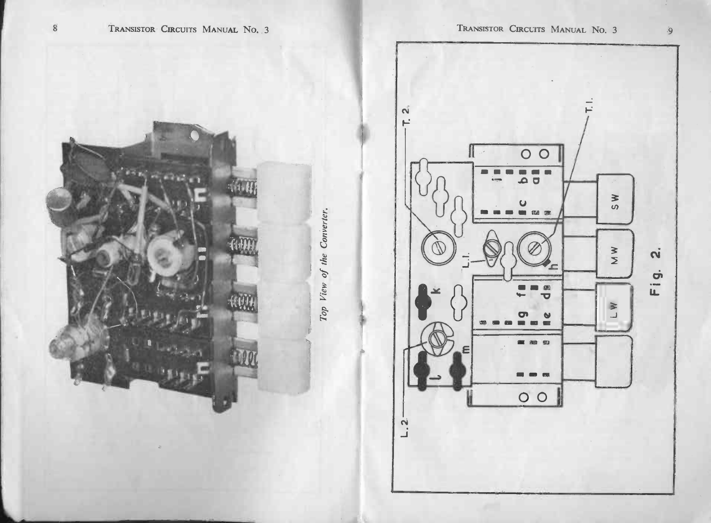



TRANSISTOR CIRCUITS MANUAL NO. 3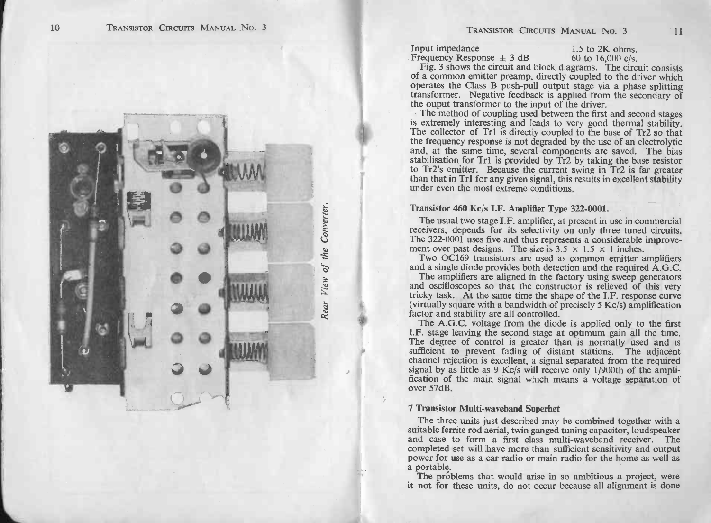

TRANSISTOR CIRCUITS MANUAL NO. 3 11<br>
Input impedance 1.5 to 2K ohms.<br>
Frequency Response  $\pm$  3 dB 60 to 16,000 c/s.<br>
Fig. 3 shows the circuit and block diagrams. The circuit consists **Solution EXECUTS MANUAL NO. 3**<br>
Input impedance<br>
Frequency Response  $\pm$  3 dB 60 to 16,000 c/s.<br>
Fig. 3 shows the circuit and block diagrams. The circuit consists<br>
of a common emitter preamp. directly coupled to the driv Input impedance  $1.5$  to 2K ohms.<br>Frequency Response  $\pm 3$  dB 60 to 16,000 c/s.<br>Fig. 3 shows the circuit and block diagrams. The circuit consists<br>of a common emitter preamp. directly coupled to the driver which<br>operates The method of coupling used between the coupling used between the coupling relationships and secondary of the diverties of coupling used between the first and second stages. The method of coupling used between the first an

the ouput transformer to the input of the driver.<br>
The method of coupling used between the first and second stages<br>
is extremely interesting and leads to very good thermal stability.<br>
The collector of Tr1 is directly coupl The collector of Tr1 is directly coupled to the base of Tr2 so that<br>the frequency response is not degraded by the use of an electrolytic<br>and, at the same time, several components are saved. The bias<br>stabilisation for Tr1 i than that in Tr1 for any given signal, this results in excellent stability

# Transistor 460 Kc/s LF. Amplifier Type 322-0001.

The usual two stage I.F. amplifier, at present in use in commercial Transistor 460 Ke/s LF. Amplifier, at present in use in commercial<br>receivers, depends for its selectivity on only three tuned circuits.<br>The 322-0001 uses five and thus represents a considerable improvement over stage i.r. any increase the size is 3.5 x 1.5 x 1 inches.<br>The 322-0001 uses five and thus represents a considerable improve-<br>ment over past designs. The size is  $3.5 \times 1.5 \times 1$  inches.<br>Two OC169 transistors are

ment over past designs. The size is  $3.5 \times 1.5 \times 1$  inches.<br>Two OC169 transistors are used as common emitter amplifiers and a single diode provides both detection and the required A.G.C.

The 322-0001 uses five and thus represents a considerable improvement over past designs. The size is  $3.5 \times 1.5 \times 1$  inches.<br>Two OC169 transistors are used as common emitter amplifiers and a single diode provides both det The amplifiers are aligned in the factory using sweep generator. The amplifiers are aligned in the factory using sweep generators and oscilloscopes so that the constructor is relieved of this very tricky task. At the same

Courtually square with a bandwidth of precisely 5 Kc/s) amplification<br>factor and stability are all controlled.<br>factor and stability are all controlled.<br>The A.G.C. voltage from the diode is applied only to the first<br>**I.F.** over 57dB.<br>7 Transistor Multi-waveband Superhet The three units iust described may be combined together with a<br>The three units just described may be combined together with a

Transistor Multi-waveband Superhet<br>The three units just described may be combined together with a<br>suitable ferrite rod aerial, twin ganged tuning capacitor, loudspeaker<br>and case to form a first class multi-waveband receive First exist with sufficient set with a sufficient sufficient sufficient sufficient sensitivity and case to form a first class multi-waveband receiver. The completed set will have more than sufficient sensitivity and output and case to form a first class multi-waveband receiver. The completed set will have more than sufficient sensitivity and output power for use as a car radio or main radio for the home as well as a project, were it not for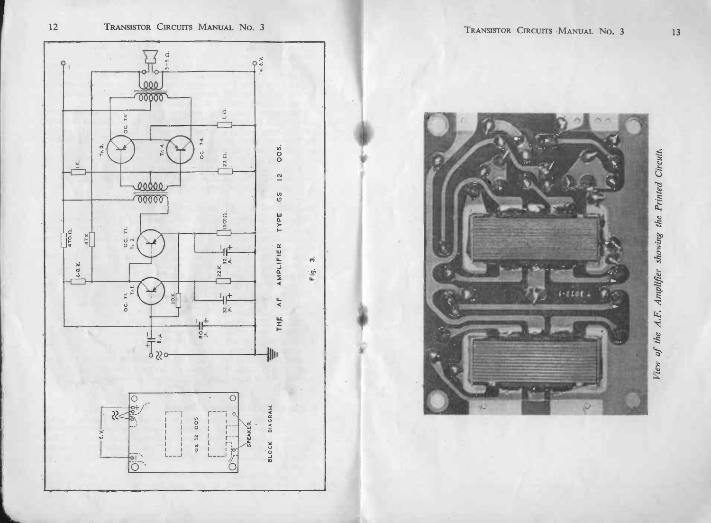



TRANSISTOR CIRCUITS MANUAL No. 3

View of the A.F. Amplifier showing the Printed Circuit,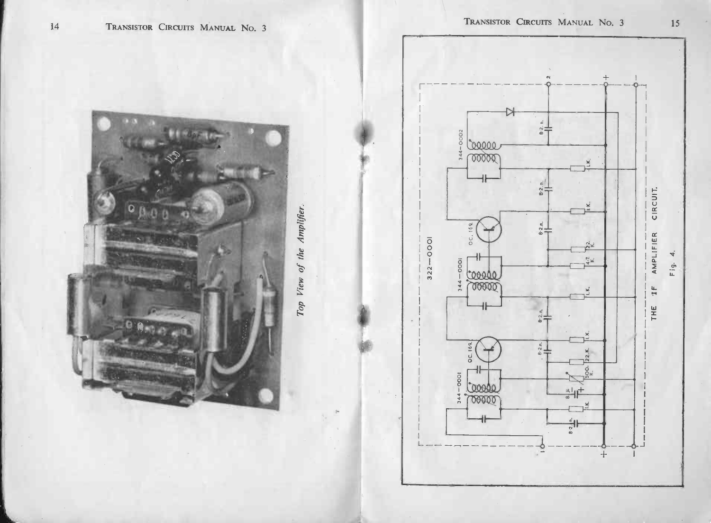



15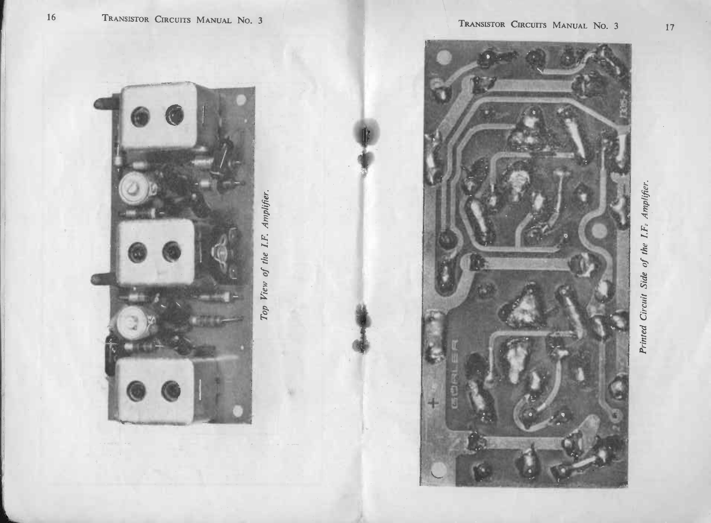$16\,$ 

Printed Circuit Side of the I.F. Amplifier.

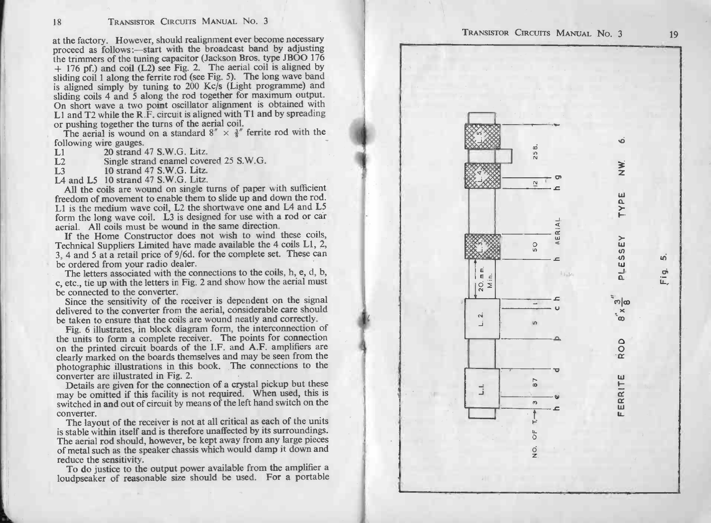18 TRANSISTOR CIRCUITS MANUAL No. 3<br>at the factory. However, should realignment ever become necessary<br>proceed as follows :—start with the broadcast band by adjusting TRANSISTOR CIRCUITS MANUAL No. 3<br>at the factory. However, should realignment ever become necessary<br>proceed as follows:—start with the broadcast band by adjusting<br>the trimmers of the tuning capacitor (Jackson Bros. type JBO proceed as follows:—start with the broadcast band by adjusting<br>the trimmers of the tuning capacitor (Jackson Bros. type JBOO 176<br> $+$  176 pf.) and coil (L2) see Fig. 2. The aerial coil is aligned by<br>sliding coil 1 along th is aligned simply by tuning to 200 Kc/s (Light proceed as follows:—start with the broadcast band by adjusting the tuning to 4 176 pf.) and coil (L2) see Fig. 2. The aerial coil is aligned by sliding coil 1 along the ferrit  $+1/0$  pl.) and Con (E2) sec  $\Gamma$  ag.  $Z$ . The long wave band salighted groil 1 along the ferrite rod (see Fig. 5). The long wave band s aligned simply by tuning to 200 Kc/s (Light programme) and sliding coils 4 and 5 alo Surface simple of the turns of the didding coils 4 and 5 along the rod together for maximum output.<br>On short wave a two point oscillator alignment is obtained with L1 and T2 while the R.F. circuit is aligned with T1 and b reduce the sensitivity. To do justice to the output power available from the amplifier a loudpseaker of reasonable size should be used. For a portable TRANSISTOR Cracurrs MANUAL No. 3 <sup>19</sup>

Following wire gauges.<br>
Let 20 strand 47 S.W.G. Litz.<br>
L2 Single strand enamel covered 25 S.W.G.<br>
L3 10 strand 47 S.W.G. Litz.

L2 Single strand enamel covered 25 S.W.G.<br>
L3 10 strand 47 S.W.G. Litz.<br>
L4 and L5 10 strand 47 S.W.G. Litz.<br>
All the coils are wound on single turns of paper with sufficient L2 Single strand enamel covered 25 S.W.G.<br>
L4 and L5 10 strand 47 S.W.G. Litz.<br>
All the coils are wound on single turns of paper with sufficient<br>
freedom of movement to enable them to slide up and down the rod.<br>
L1 is the All the coils are wound on single turns of paper with sufficient<br>freedom of movement to enable them to slide up and down the rod.<br>L1 is the medium wave coil, L2 the shortwave one and L4 and L5<br>form the long wave coil. L3 L1 is the medium wave coil, L2 the shortwave one and L4 and L5 form the long wave coil. L3 is designed for use with a rod or car aerial. All coils must be wound in the same direction.

If the Home Constructor does not wish to wind these coils, Technical Suppliers Limited have made available the 4 coils Ll, 2, Let is the meanum wave coil, L2 the shortwave one and L4 and L3<br>form the long wave coil. L3 is designed for use with a rod or car<br>acrial. All coils must be wound in the same direction.<br>If the Home Constructor does not wis Technical Suppliers Limited have made available the 4 coils L1, 2, 3, 4 and 5 at a retail price of 9/6d. for the complete set. These car be ordered from your radio dealer.<br>The letters associated with the connections to the form the long wave coil. L3 is designed for use with a rod or car<br>aerial. All coils must be wound in the same direction.<br>If the Home Constructor does not wish to wind these coils,<br>Technical Suppliers Limited have made ava

Since the sensitivity of the receiver is dependent on the signal delivered to the converter from the aerial, considerable care should be taken to ensure that the coils are wound neatly and correctly. Fig. 6 illustrates, in

be connected to the converter.<br>Since the sensitivity of the receiver is dependent on the signal<br>delivered to the converter from the aerial, considerable care should<br>be taken to ensure that the coils are wound neatly and co be taken to ensure that the coils are wound neatly and correctly.<br>Fig. 6 illustrates, in block diagram form, the interconnection of<br>the units to form a complete receiver. The points for connection<br>on the printed circuit bo on the printed circuit boards of the I.F. and A.F. amplifiers are clearly marked on the boards themselves and may be seen from the photographic illustrations in this book. The connections to the converter are illustrated i

expectively marked on the boards dielinserves and may be seen from the photographic illustrations in this book. The connections to the converter are illustrated in Fig. 2.<br>Details are given for the connection of a crystal because are given for the converter.<br>The may be omitted if this facility is not required. When used, this is<br>switched in and out of circuit by means of the left hand switch on the<br>converter.<br>The layout of the receiver is n

converter.<br>The layout of the receiver is not at all critical as each of the units<br>is stable within itself and is therefore unaffected by its surroundings. The aerial rod should, however, be kept away from any large pieces of metal such as the speaker chassis which would damp it down and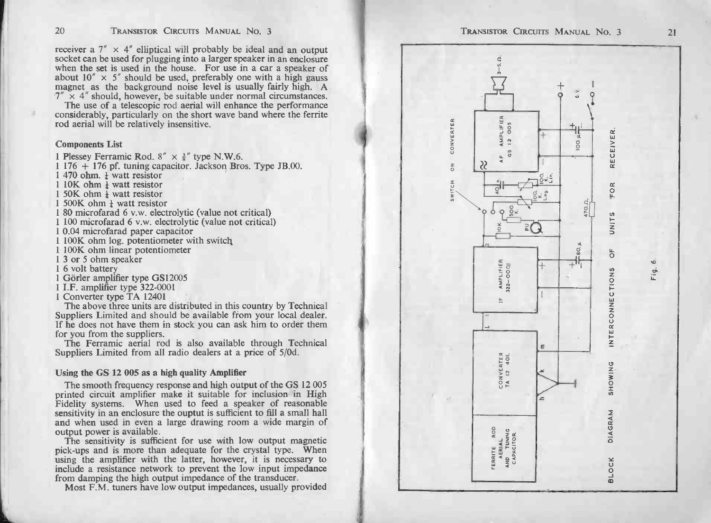20 TRANSISTOR CIRCUITS MANUAL NO. 3<br>receiver a  $7'' \times 4''$  elliptical will probably be ideal and an output<br>socket can be used for plugging into a larger speaker in an enclosure receiver a  $7'' \times 4''$  elliptical will probably be ideal and an output socket can be used for plugging into a larger speaker in an enclosure when the set is used in the house. For use in a car a speaker of receiver a  $7'' \times 4''$  elliptical will probably be ideal and an output socket can be used for plugging into a larger speaker in an enclosure when the set is used in the house. For use in a car a speaker of about  $10'' \times 5''$  TRANSISTOR CIRCUITS MANUAL No. 3<br>receiver a  $7'' \times 4''$  elliptical will probably be ideal and an output<br>socket can be used for plugging into a larger speaker in an enclosure<br>when the set is used in the house. For use in a c when the set is used in the house. For use in a car a speaker of about  $10'' \times 5''$  should be used, preferably one with a high gauss magnet as the background noise level is usually fairly high. A  $7'' \times 4''$  should, however,

The use of a telescopic rod aerial will enhance the performance considerably, particularly on the short wave band where the ferrite rod aerial will be relatively insensitive. considerably, particularly<br>
rod aerial will be relatively<br>
Components List<br>
1 Plessey Ferramic Rod. 8<br>
1 176 + 176 pf. tuning ca<br>
1 470 ohm.  $\frac{1}{4}$  watt resistor<br>
1 10K ohm  $\frac{1}{4}$  watt resistor

## Components List

1 Plessey Ferramic Rod.  $8'' \times \frac{3}{8}''$  type N.W.6.<br>
1 176 + 176 pf. tuning capacitor. Jackson Bros. Type JB.00. 1 470 ohm.  $\frac{1}{2}$  watt resistor

1 470 ohm.  $\frac{1}{4}$  watt resistor<br>1 10K ohm  $\frac{1}{4}$  watt resistor<br>1 50K ohm  $\frac{1}{4}$  watt resistor

1 500K ohm  $\frac{1}{2}$  watt resistor

1 10K ohm  $\frac{1}{4}$  watt resistor<br>1 50K ohm  $\frac{1}{4}$  watt resistor<br>1 500K ohm  $\frac{1}{4}$  watt resistor<br>1 80 microfarad 6 v.w. electrolytic (value not critical) 1 50.0K ohm  $\frac{1}{4}$  watt resistor<br>1 80 microfarad 6 v.w. electrolytic (value no<br>1 100 microfarad 6 v.w. electrolytic (value no<br>1 0.04 microfarad paper capacitor<br>1 100K ohm log. potentiometer with switch

1 50K ohm  $\frac{1}{4}$  watt resistor<br>1 500K ohm  $\frac{1}{4}$  watt resistor<br>1 80 microfarad 6 v.w. electrolytic (value not critical)<br>1 100 microfarad 6 v.w. electrolytic (value not critical)

1 100 microfarad 6 v.w. electrolyt<br>1 0.04 microfarad paper capacitor<br>1 100K ohm linear potentiometer w<br>1 3 or 5 ohm speaker<br>1 6 volt battery 1 100K ohm log. potentiometer<br>1 100K ohm linear potentiometer<br>1 3 or 5 ohm speaker<br>1 6 volt battery<br>1 Görler amplifier type GS12005 1 100K ohm linear potentiometer<br>
1 3 or 5 ohm speaker<br>
1 6 volt battery<br>
1 Görler amplifier type GS12005<br>
1 I.F. amplifier type 322-0001

1 Converter type TA 12401

The above three units are distributed in this country by Technical Suppliers Limited and should be available from your local dealer. 1 100K ohm linear potentiometer<br>1 3 or 5 ohm speaker<br>1 6 volt battery<br>1 Görler amplifier type GS12005<br>1 I.F. amplifier type 322-0001<br>Converter type TA 12401<br>The above three units are distributed in this country by Technica Suppliers Limited and should be available from your local dealer.<br>If he does not have them in stock you can ask him to order them<br>for you from the suppliers.<br>The Ferramic aerial rod is also available through Technical<br>Supp

The Ferramic aerial rod is also available through Technical Suppliers Limited from all radio dealers at a price of  $5/0d$ .<br>Using the GS 12 005 as a high quality Amplifier

The smooth frequency response and high output of the GS 12 005 printed circuit amplifier make it suitable for inclusion in High Fidelity systems. When used to feed a speaker of reasonable Figure 1. When used to feed a speaker of the GS 12005 printed circuit amplifier make it suitable for inclusion in High Fidelity systems. When used to feed a speaker of reasonable sensitivity in an enclosure the ouptut is s Fidelity systems. When used to feed a speaker of reasonable<br>sensitivity in an enclosure the ouptut is sufficient to fill a small hall<br>and when used in even a large drawing room a wide margin of<br>output power is available.<br>T

phenometrical type. When and when a large drawing room a wide margin of and when used in even a large drawing room a wide margin of output power is available.<br>The sensitivity is sufficient for use with low output magnetic using the amplifier with the latter, however, it is necessary to include a resistance network to prevent the low input impedance from damping the high output impedance of the transducer. Most F.M. tuners have low output im The sensitivity is sufficient for use with low output magnetic pick-ups and is more than adequate for the crystal type. When

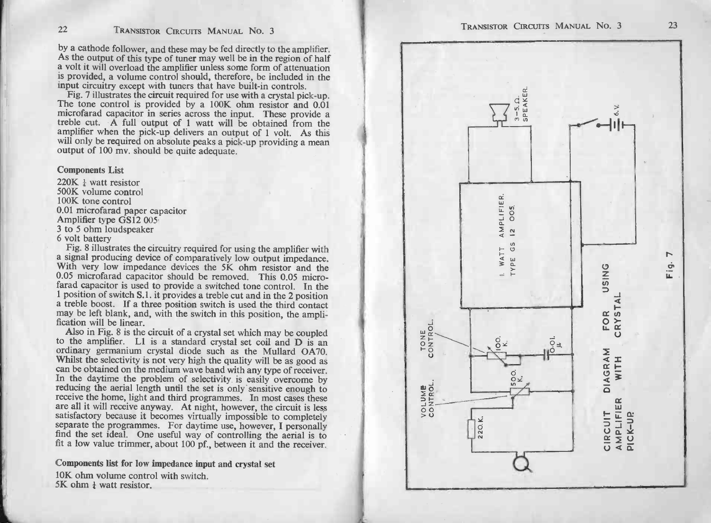by a cathode follower, and these may be fed directly to the amplifier. As the output of this type of tuner may well be in the region of half a volt it will overload the amplifier unless some form of attenuation by a cathode follower, and these may be fed directly to the amplifier.<br>As the output of this type of tuner may well be in the region of half<br>a volt it will overload the amplifier unless some form of attenuation<br>is provided

As the output of this type of tuner may well be in the region of half<br>a volt it will overload the amplifier unless some form of attenuation<br>is provided, a volume control should, therefore, be included in the<br>input circuitr treble cut. A full output of 1 watt will be obtained from the will only be required on absolute peaks a pick-up providing a mean output of 100 my. should be quite adequate.

# Components List

 $\frac{200 \text{ mV}}{220 \text{K} + \text{watt resistor}}$ 500K volume control  $220K \frac{1}{4}$  watt resist<br>500K volume control<br>100K tone control 220K <sup>1</sup> watt resistor<br>500K volume control<br>100K tone control<br>0.01 microfarad paper capacitor<br>Amplifier type GS12 005<br>3 to 5 ohm loudspeaker From Volume<br>100K tone co<br>0.01 microfar<br>Amplifier typ<br>3 to 5 ohm lc<br>6 volt battery Fig. 8 illustrated paper capacitor<br>
10.01 microfarad paper capacitor<br>
Amplifier type GS12 005<br>
3 to 5 ohm loudspeaker<br>
6 volt battery<br>
Fig. 8 illustrates the circuitry required for using the amplifier with

a signal producing device of comparatively low output impedance.<br>
Fig. 8 illustrates the circuitry required for using the amplifier with<br>
a signal producing device of comparatively low output impedance.<br>
With very low impe Fig. 8 illustrates the circuitry required for using the amplifier with<br>a signal producing device of comparatively low output impedance.<br>With very low impedance devices the 5K ohm resistor and the<br>0.05 microfarad capacitor farad capacitor is used to provide a switched tone control. In the 1 position of switch S.1. it provides a treble cut and in the 2 position a treble boost. If a three position switch is used the third contact a may be lef

Also in Fig. 8 is the circuit of a crystal set which may be coupled<br>to the amplifier. L1 is a standard crystal set coil and D is an<br>ordinary germanium crystal diode such as the Mullard OA70.<br>Whilst the selectivity is not v Whilst the selectivity is not very high the quality will be as good as can be obtained on the medium wave band with any type of receiver. In the daytime the problem of selectivity is easily overcome by reducing the aerial In the daytime the problem of selectivity is easily overcome by<br>In the daytime the problem of selectivity is easily overcome by<br>reducing the aerial length until the set is only sensitive enough to<br>receive the home, light a Freducing the aerial length until the set is only sensitive enough to<br>receive the home, light and third programmes. In most cases these<br>are all it will receive anyway. At night, however, the circuit is less<br>satisfactory be fit a low value trimmer, about 100 pf., between it and<br>Components list for low impedance input and crystal set satisfactory because it<br>satisfactory because it<br>separate the programme<br>find the set ideal. One<br>fit a low value trimmer<br>Omponents list for low<br>10K ohm volume control<br>5K ohm  $\frac{1}{4}$  watt resistor.

**Components list for low impedance inp**<br>10K ohm volume control with switch.



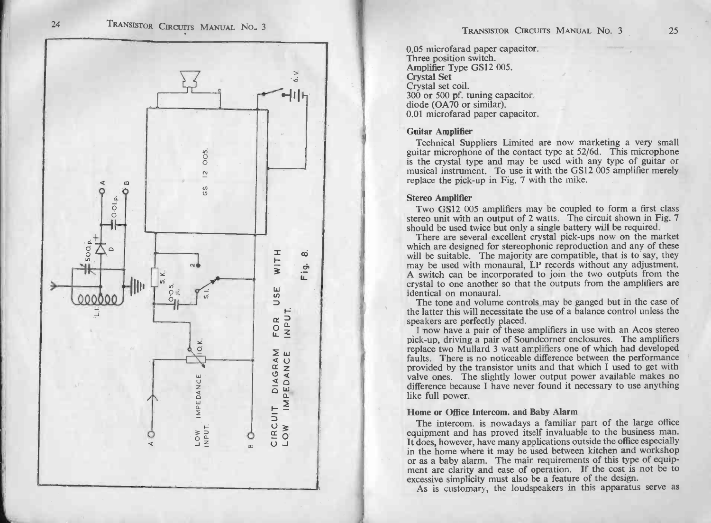

As is customary, the loudspeakers in this apparatus serve as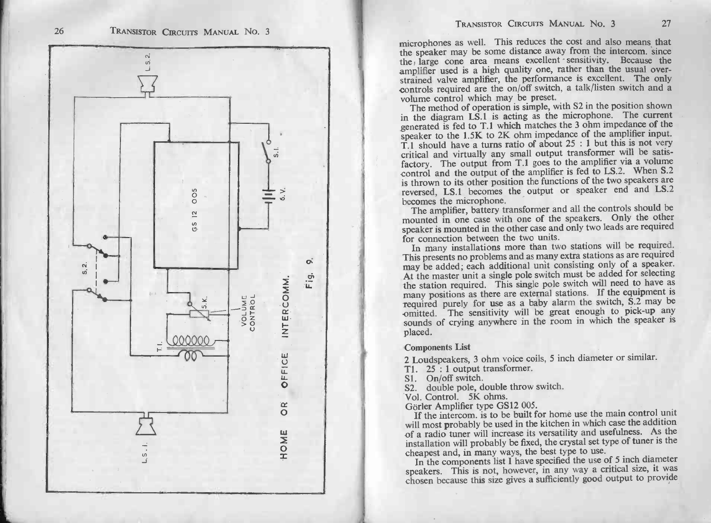

microphones as well. This reduces the cost and also means that the speaker may be some distance away from the intercom. since the large cone area means excellent sensitivity. Because the microphones as well. This reduces the cost and also means that the peaker may be some distance away from the intercom. Since the parties is a high quality one, rather than the usual over-<br>strained valve amplifier, the perf the air was been are a metal which may be preset. The usual over-<br>strained valve amplifier, the performance is excellent. The only<br>controls required are the on/off switch, a talk/listen switch and a<br>volume control which ma

controls required are the on/off switch, a talk/listen switch and a volume control which may be preset.<br>The method of operation is simple, with S2 in the position shown<br>in the diagram LS.1 is acting as the microphone. The volume control which may be preset.<br>The method of operation is simple, with S2 in the position shown<br>in the diagram LS.1 is acting as the microphone. The current<br>generated is fed to T.1 which matches the 3 ohm impedance o generated is fed to T.1 which matches the 3 ohm impedance of the speaker to the 1.5K to 2K ohm impedance of the amplifier input.<br>T.1 should have a turns ratio of about  $25 : 1$  but this is not very critical and virtually a speaker to the 1.5K to 2K ohm impedance of the amplifier input.<br>T.1 should have a turns ratio of about  $25 : 1$  but this is not very critical and virtually any small output transformer will be satisfactory. The output from is thrown to its other position the functions of the two speakers are<br>reversed, LS.1 becomes the output or speaker end and LS.2<br>becomes the microphone.<br>The amplifier, battery transformer and all the controls should be

mounted in one case with one of the speakers. Only the other is thrown to its other position the functions of the wo speakers are reversed, LS.1 becomes the output or speaker end and LS.2 The amplifier, battery transformer and all the controls should be mounted in one case with one for connection between the two units.<br>In many installations more than two stations will be required.

speaker is mounted in the other case and only two leads are required<br>In many installations more than two stations will be required.<br>This presents no problems and as many extra stations as are required<br>may be added; each ad In many installations more than two stations will be required.<br>This presents no problems and as many extra stations as are required<br>may be added; each additional unit consisting only of a speaker.<br>At the master unit a sing may be added; each additional unit consisting only of a speaker.<br>At the master unit a single pole switch must be added for selecting<br>the station required. This single pole switch will need to have as<br>many positions as ther required purely for use a baby alarm the switch purely of a speaker.<br>At the master unit a single pole switch must be added for selecting<br>the station required. This single pole switch will need to have as<br>many positions as omitted. The sensitivity will be great enough to pick-up any sounds of crying anywhere in the room in which the speaker is placed.

## Components List

placed.<br>Components List<br>2 Loudspeakers, 3 ohm voice coils, 5 inch diameter or similar.<br>T1. 25 : 1 output transformer.

T1. 25 : 1 output transformer.<br>S1. On/off switch.

S2. double pole, double throw switch.

Vol. Control. 5K ohms.<br>Görler Amplifier type GS12 005.

If the intercom. is to be built for home use the main control unit S1. On/off switch.<br>S2. double pole, double throw switch.<br>Vol. Control. 5K ohms.<br>Görler Amplifer type GS12 005.<br>If the intercom. is to be built for home use the main control unit<br>will most probably be used in the kitchen in Sol. Control. 5K ohms.<br>
Görler Amplifier type GS12 005.<br>
If the intercom. is to be built for home use the main control unit<br>
will most probably be used in the kitchen in which case the addition<br>
of a radio tuner will incre Görler Amplifier type GS12 005.<br>If the intercom, is to be built for home use the main control unit<br>will most probably be used in the kitchen in which case the addition<br>of a radio tuner will increase its versatility and use of a radio tuner will increase its versatility and usefulness. As the installation will probably be fixed, the crystal set type of tuner is the cheapest and, in many ways, the best type to use. In the components list I hav

chosen because this size gives a sufficiently good output to provide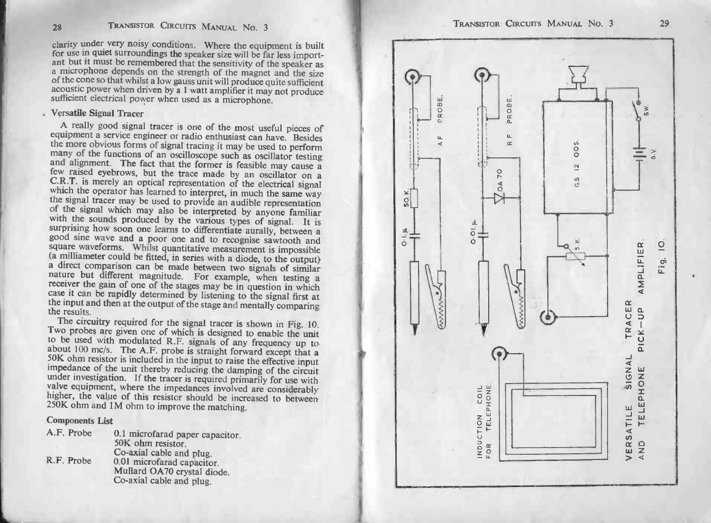28 TRANSISTOR CIRCUITS MANUAL No. 3<br>clarity under very noisy conditions. Where the equipment is built CONSIDER TRANSISION CIRCUITS MANUAL NO. 3<br>Clarity under very noisy conditions. Where the equipment is built<br>for use in quiet surroundings the speaker size will be far less import-<br>ant but it must be remembered that the sen acoustic power when driven by a speaker size will be far less import-<br>and but it must be remembered that the sensitivity of the speaker as<br>a microphone depends on the strength of the magnet and the size<br>of the cone so that Next amplifier it may not produce<br>sufficient electrical power when used as a microphone.<br>Versatile Signal Tracer<br>A really good signal tracer is one of the most useful pieces of equipment a service engineer or radio enthusiast can have. Besides the cone so that whilst a low gauss unit will produce quite sufficient acoustic power when driven by a 1 watt amplifier it may not produce sufficient elect

and alignment. The fact that the former is feasible may cause a<br>few raised eyebrows, but the trace made by an oscillator on a<br>C.R.T. is merely an optical representation of the electrical signal<br>which the operator has learn the signal tracer may be used to provide an audible representation of the signal which may also be interpreted by anyone familiar with the sounds produced by the various types of signal. It is surprising how soon one learn or the sounds produced by the various types of signal. It is<br>with the sounds produced by the various types of signal. It is<br>surprising how soon one learns to differentiate aurally, between a<br>good sine wave and a poor one a

madic but different magnitude. For example, when testing a<br>receiver the gain of one of the stages may be in question in which<br>case it can be rapidly determined by listening to the signal first at<br>the input and then at the to be used with modulated R.F. signals of any frequency up to<br>about  $100 \text{ mc/s}$ . The A.F. probe is straight forward except that a<br>50K ohm resistor is included in the input to raise the effective input<br>impedance of the uni 250K ohm and 1M ohm to improve the matching.<br>Components List valve equipment, where the impedances involved are considerably higher, the value of this resistor should be increased to between

| <b>Components List</b> |                                                         |
|------------------------|---------------------------------------------------------|
| A.F. Probe             | 0.1 microfarad paper capacitor.<br>50K ohm resistor.    |
| R.F. Probe             | Co-axial cable and plug.<br>0.01 microfarad capacitor.  |
|                        | Mullard OA70 crystal diode.<br>Co-axial cable and plug. |

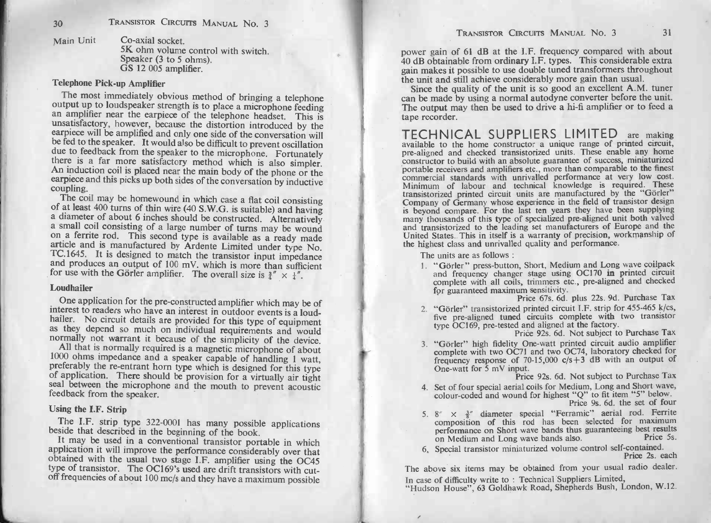.<br>Co-axial socket.<br>5K ohm volume control with switch. Co-axial socket.<br>5K ohm volume contra<br>Speaker (3 to 5 ohms).<br>GS 12 005 amplifier. Speaker (3 to 5 ohms).<br>GS 12 005 amplifier.<br>Telephone Pick-up Amplifier

The most immediately obvious method of bringing a telephone output up to loudspeaker strength is to place a microphone feeding an amplifier near the earpiece of the telephone headset. This is Telephone Pick-up Amplifier<br>The most immediately obvious method of bringing a telephone<br>output up to loudspeaker strength is to place a microphone feeding<br>an amplifier near the earpiece of the telephone headset. This is<br>un The most immediately obvious method of bringing a telephone<br>output up to loudspeaker strength is to place a microphone feeding<br>an amplifier near the earpiece of the telephone headset. This is<br>unsatisfactory, however, becau be fed to the speaker. It would also be difficult to preversation will<br>due to feedback from the speaker to the microphone. Fortunately<br>there is a far more satisfactory method which is also simpler.<br>An induction coil is pla An induction coil is placed near the main body of the phone or the earpiece and this picks up both sides of the conversation by inductive coupling.<br>The coil may be homewound in which case a flat coil consisting

due to recovack from the speaker to the microphone. Fortunately<br>there is a far more satisfactory method which is also simpler.<br>An induction coil is placed near the main body of the phone or the<br>earpiece and this picks up TC.1645. It is designed to match the transistor input impedance<br>and produces an output of 100 mV, which is more than sufficient<br>for use with the Görler amplifier. The overall size is  $\frac{3}{4}'' \times \frac{1}{4}''$ .<br>Loudhailer

and produces an output of 100 mV. which is more than sufficient<br>for use with the Görler amplifier. The overall size is  $\frac{3}{4}$ "  $\times \frac{1}{4}$ ".<br>Loudhailer<br>One application for the pre-constructed amplifier which may be of<br> 1000 ohms impedance and a speaker capable of handling 1 watt, preferably the re-entrant horn type which is designed for this type of application. There should be provision for a virtually air tight seal between the microph

The I.F. strip type 322-0001 has many possible applications beside that described in the beginning of the book. It may be used in a conventional transistor portable in which application it will improve the performance cons obtained with the usual two stage I.F. amplifier using the OC45 type of transistor. The OC169's used are drift transistors with cut-off frequencies of about 100 mc/s and they have a maximum possible

30. TAxsassrow. Checkra is Mass 161 (2) Taxsassrow. Checkra is a 13 (3) Taxsassrow. Checkra is a 3) Taxsassrow. Checkra is a 3) Taxsassrow. Checkra is a 30 (3) Taxsassrow. Checkra is a 30 (3) Taxsassrow Checkra is a 30 (4

- 
- 
-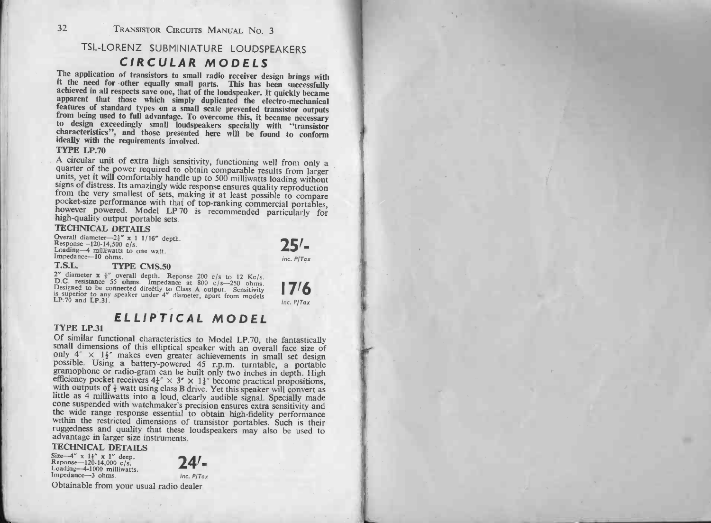<sup>32</sup> TRANSISTOR CIRCUITS MANUAL No. 3

# TRANSISTOR CIRCUITS MANUAL No. 3<br>TSL-LORENZ SUBMINIATURE LOUDSPEAKERS RANSISTOR CIRCUITS MANUAL NO.<br>ENZ SUBMINIATURE LOUDSI<br>CIRCULAR MODELS

**CIRCULAR MODELS**<br>The application of transistors to small radio receiver design brings with<br>it the need for other equally small parts. This has been successfully<br>achieved in all respects save one, that of the loudspeaker. features of standard types on a small scale prevented transistor outputs<br>from being used to full advantage. To overcome this, it became necessary<br>to design exceedingly small loudspeakers specially with "transistor<br>characte from being used to full advantage. To overcome this, it became necessary

A circular unit of extra high sensitivity, functioning well from only a units, yet it will comfortably handle up to 500 milliwatts loading without<br>signs of distress. Its amazingly wide response ensures quality reproduction<br>from the very smallest of sets, making it at least possible to compare<br> however powered. Model LP.70 is recommended particularly for France with that of top-ranking commercial portation<br>primance with that of top-ranking commercial portated<br>ed. Model LP.70 is recommended particularly<br>put portable sets.<br>ETAILS<br> $X^2 \times 11/16^{\alpha}$  depth.<br> $X^3 \times 11/16^{\alpha}$  d

Overall diameter- $2\frac{3}{4}$ " x 1 1/16" depth.<br>Response-120-14,500 c/s. **TECHNICAL DETAILS**<br>Overall diameter—2<sup>2</sup> x 1 1/16" der<br>Response—120-14,500 c/s.<br>Loading—4 milliwatts to one watt.<br>Impedance—10 ohms.<br>T.S.L. TYPE CMS.50

Response—120-14,500 c/s.<br>
Response—120-14,500 c/s.<br>
Loading—4 milliwatts to one watt.<br>
Impedance—10 ohms.<br>
Impedance—10 ohms.<br>
2" diameter  $\mathbf{x} \cdot \hat{\mathbf{y}}$  overall depth. Reponse 200 c/s to 12 Kc/s.<br>
D.C. resistance 55 o is superior to any speaker under 4" diameter, apart from models<br>LP.70 and LP.31.<br> **ELLIPTICAL MODEL** 

CP:70 and LP.31.<br> **ELLIPTICAL MODEL**<br>
Of similar functional characteristics to Model LP.70, the fantastically<br>
Small dimensions of this elliptical speaker with an overall face size of **ELLIPTICAL MODEL**<br>Of similar functional characteristics to Model LP.70, the fantastically<br>small dimensions of this elliptical speaker with an overall face size of<br>only  $4'' \times 1\frac{1}{2}''$  makes even greater achievements in **TYPE LP.31**<br>Of similar functional characteristics to Model LP.70, the fantastically<br>small dimensions of this elliptical speaker with an overall face size of<br>only  $4^{\circ} \times 1\frac{1}{2}^{\circ}$  makes even greater achievements in possition ensures extended with which we include the fifteency pocket receivers  $4^2 \times 3^2 \times 1^2$  become practical propositions, with outputs of  $\frac{1}{2}$  watt using class B drive. Yet this speaker will convert as it is t with outputs of  $\frac{1}{2}$  watt using class B drive. Yet this speaker will convert as little as 4 milliwatts into a loud, clearly audible signal. Specially made cone suspended with watchmaker's precision ensures extra sens advantage in larger size instruments.<br>
TECHNICAL DETAILS<br>
Size--4" x 1<sup>1</sup>" x 1" deep.<br>
Reponse--120-14,000 c/s. the wide range response essential to obtain high-fidelity performance<br>within the restricted dimensions of transistor portables. Such is their<br>ruggedness and quality that these loudspeakers may also be used to<br>advantage in

Obtainable from your usual radio dealer